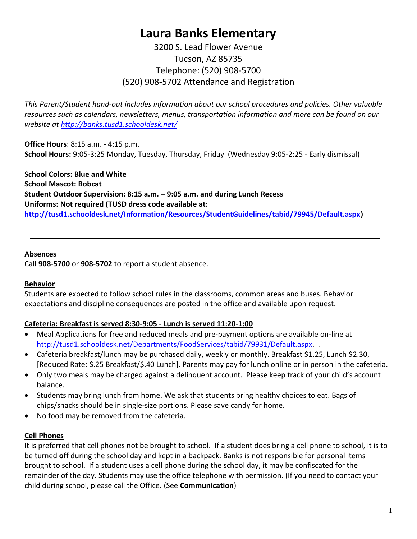# **Laura Banks Elementary**

3200 S. Lead Flower Avenue Tucson, AZ 85735 Telephone: (520) 908-5700 (520) 908-5702 Attendance and Registration

*This Parent/Student hand-out includes information about our school procedures and policies. Other valuable resources such as calendars, newsletters, menus, transportation information and more can be found on our website at <http://banks.tusd1.schooldesk.net/>*

**Office Hours**: 8:15 a.m. - 4:15 p.m. **School Hours:** 9:05-3:25 Monday, Tuesday, Thursday, Friday (Wednesday 9:05-2:25 - Early dismissal)

**School Colors: Blue and White School Mascot: Bobcat Student Outdoor Supervision: 8:15 a.m. – 9:05 a.m. and during Lunch Recess Uniforms: Not required (TUSD dress code available at: [http://tusd1.schooldesk.net/Information/Resources/StudentGuidelines/tabid/79945/Default.aspx\)](http://tusd1.schooldesk.net/Information/Resources/StudentGuidelines/tabid/79945/Default.aspx)**

#### **Absences**

Call **908-5700** or **908-5702** to report a student absence.

#### **Behavior**

Students are expected to follow school rules in the classrooms, common areas and buses. Behavior expectations and discipline consequences are posted in the office and available upon request.

#### **Cafeteria: Breakfast is served 8:30-9:05 - Lunch is served 11:20-1:00**

- Meal Applications for free and reduced meals and pre-payment options are available on-line at [http://tusd1.schooldesk.net/Departments/FoodServices/tabid/79931/Default.aspx.](http://tusd1.schooldesk.net/Departments/FoodServices/tabid/79931/Default.aspx)..
- Cafeteria breakfast/lunch may be purchased daily, weekly or monthly. Breakfast \$1.25, Lunch \$2.30, [Reduced Rate: \$.25 Breakfast/\$.40 Lunch]. Parents may pay for lunch online or in person in the cafeteria.
- Only two meals may be charged against a delinquent account. Please keep track of your child's account balance.
- Students may bring lunch from home. We ask that students bring healthy choices to eat. Bags of chips/snacks should be in single-size portions. Please save candy for home.
- No food may be removed from the cafeteria.

#### **Cell Phones**

It is preferred that cell phones not be brought to school. If a student does bring a cell phone to school, it is to be turned **off** during the school day and kept in a backpack. Banks is not responsible for personal items brought to school. If a student uses a cell phone during the school day, it may be confiscated for the remainder of the day. Students may use the office telephone with permission. (If you need to contact your child during school, please call the Office. (See **Communication**)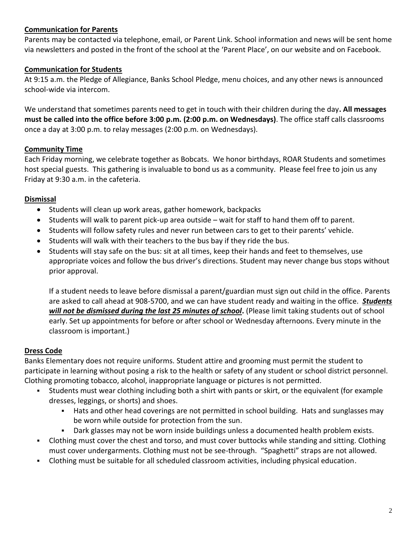#### **Communication for Parents**

Parents may be contacted via telephone, email, or Parent Link. School information and news will be sent home via newsletters and posted in the front of the school at the 'Parent Place', on our website and on Facebook.

#### **Communication for Students**

At 9:15 a.m. the Pledge of Allegiance, Banks School Pledge, menu choices, and any other news is announced school-wide via intercom.

We understand that sometimes parents need to get in touch with their children during the day**. All messages must be called into the office before 3:00 p.m. (2:00 p.m. on Wednesdays)**. The office staff calls classrooms once a day at 3:00 p.m. to relay messages (2:00 p.m. on Wednesdays).

#### **Community Time**

Each Friday morning, we celebrate together as Bobcats. We honor birthdays, ROAR Students and sometimes host special guests. This gathering is invaluable to bond us as a community. Please feel free to join us any Friday at 9:30 a.m. in the cafeteria.

#### **Dismissal**

- Students will clean up work areas, gather homework, backpacks
- Students will walk to parent pick-up area outside wait for staff to hand them off to parent.
- Students will follow safety rules and never run between cars to get to their parents' vehicle.
- Students will walk with their teachers to the bus bay if they ride the bus.
- Students will stay safe on the bus: sit at all times, keep their hands and feet to themselves, use appropriate voices and follow the bus driver's directions. Student may never change bus stops without prior approval.

If a student needs to leave before dismissal a parent/guardian must sign out child in the office. Parents are asked to call ahead at 908-5700, and we can have student ready and waiting in the office. *Students will not be dismissed during the last 25 minutes of school***.** (Please limit taking students out of school early. Set up appointments for before or after school or Wednesday afternoons. Every minute in the classroom is important.)

#### **Dress Code**

Banks Elementary does not require uniforms. Student attire and grooming must permit the student to participate in learning without posing a risk to the health or safety of any student or school district personnel. Clothing promoting tobacco, alcohol, inappropriate language or pictures is not permitted.

- Students must wear clothing including both a shirt with pants or skirt, or the equivalent (for example dresses, leggings, or shorts) and shoes.
	- Hats and other head coverings are not permitted in school building. Hats and sunglasses may be worn while outside for protection from the sun.
	- Dark glasses may not be worn inside buildings unless a documented health problem exists.
- Clothing must cover the chest and torso, and must cover buttocks while standing and sitting. Clothing must cover undergarments. Clothing must not be see-through. "Spaghetti" straps are not allowed.
- Clothing must be suitable for all scheduled classroom activities, including physical education.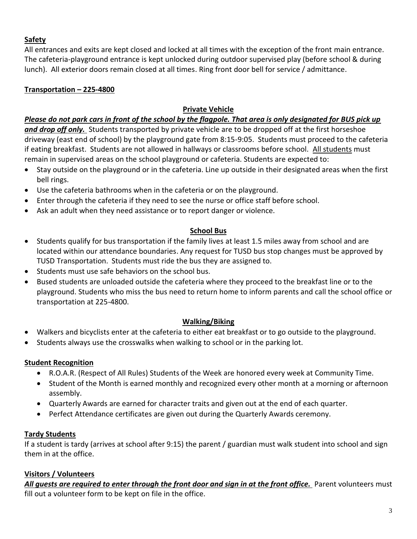# **Safety**

All entrances and exits are kept closed and locked at all times with the exception of the front main entrance. The cafeteria-playground entrance is kept unlocked during outdoor supervised play (before school & during lunch). All exterior doors remain closed at all times. Ring front door bell for service / admittance.

# **Transportation – 225-4800**

# **Private Vehicle**

# *Please do not park cars in front of the school by the flagpole. That area is only designated for BUS pick up*

*and drop off only.* Students transported by private vehicle are to be dropped off at the first horseshoe driveway (east end of school) by the playground gate from 8:15-9:05. Students must proceed to the cafeteria if eating breakfast. Students are not allowed in hallways or classrooms before school. All students must remain in supervised areas on the school playground or cafeteria. Students are expected to:

- Stay outside on the playground or in the cafeteria. Line up outside in their designated areas when the first bell rings.
- Use the cafeteria bathrooms when in the cafeteria or on the playground.
- Enter through the cafeteria if they need to see the nurse or office staff before school.
- Ask an adult when they need assistance or to report danger or violence.

### **School Bus**

- Students qualify for bus transportation if the family lives at least 1.5 miles away from school and are located within our attendance boundaries. Any request for TUSD bus stop changes must be approved by TUSD Transportation. Students must ride the bus they are assigned to.
- Students must use safe behaviors on the school bus.
- Bused students are unloaded outside the cafeteria where they proceed to the breakfast line or to the playground. Students who miss the bus need to return home to inform parents and call the school office or transportation at 225-4800.

### **Walking/Biking**

- Walkers and bicyclists enter at the cafeteria to either eat breakfast or to go outside to the playground.
- Students always use the crosswalks when walking to school or in the parking lot.

# **Student Recognition**

- R.O.A.R. (Respect of All Rules) Students of the Week are honored every week at Community Time.
- Student of the Month is earned monthly and recognized every other month at a morning or afternoon assembly.
- Quarterly Awards are earned for character traits and given out at the end of each quarter.
- Perfect Attendance certificates are given out during the Quarterly Awards ceremony.

### **Tardy Students**

If a student is tardy (arrives at school after 9:15) the parent / guardian must walk student into school and sign them in at the office.

# **Visitors / Volunteers**

All guests are required to enter through the front door and sign in at the front office. Parent volunteers must fill out a volunteer form to be kept on file in the office.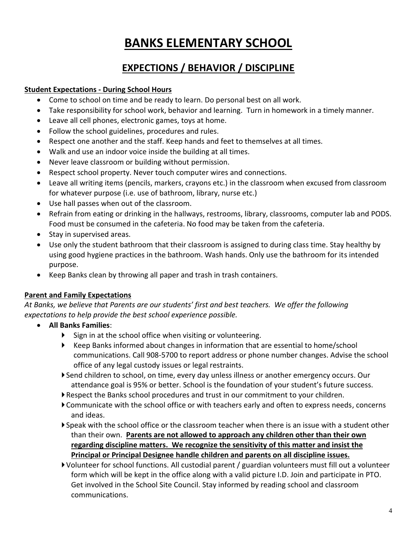# **BANKS ELEMENTARY SCHOOL**

# **EXPECTIONS / BEHAVIOR / DISCIPLINE**

# **Student Expectations - During School Hours**

- Come to school on time and be ready to learn. Do personal best on all work.
- Take responsibility for school work, behavior and learning. Turn in homework in a timely manner.
- Leave all cell phones, electronic games, toys at home.
- Follow the school guidelines, procedures and rules.
- Respect one another and the staff. Keep hands and feet to themselves at all times.
- Walk and use an indoor voice inside the building at all times.
- Never leave classroom or building without permission.
- Respect school property. Never touch computer wires and connections.
- Leave all writing items (pencils, markers, crayons etc.) in the classroom when excused from classroom for whatever purpose (i.e. use of bathroom, library, nurse etc.)
- Use hall passes when out of the classroom.
- Refrain from eating or drinking in the hallways, restrooms, library, classrooms, computer lab and PODS. Food must be consumed in the cafeteria. No food may be taken from the cafeteria.
- Stay in supervised areas.
- Use only the student bathroom that their classroom is assigned to during class time. Stay healthy by using good hygiene practices in the bathroom. Wash hands. Only use the bathroom for its intended purpose.
- Keep Banks clean by throwing all paper and trash in trash containers.

### **Parent and Family Expectations**

*At Banks, we believe that Parents are our students' first and best teachers. We offer the following expectations to help provide the best school experience possible.*

- **All Banks Families**:
	- $\triangleright$  Sign in at the school office when visiting or volunteering.
	- Keep Banks informed about changes in information that are essential to home/school communications. Call 908-5700 to report address or phone number changes. Advise the school office of any legal custody issues or legal restraints.
	- Send children to school, on time, every day unless illness or another emergency occurs. Our attendance goal is 95% or better. School is the foundation of your student's future success.
	- Respect the Banks school procedures and trust in our commitment to your children.
	- Communicate with the school office or with teachers early and often to express needs, concerns and ideas.
	- Speak with the school office or the classroom teacher when there is an issue with a student other than their own. **Parents are not allowed to approach any children other than their own regarding discipline matters. We recognize the sensitivity of this matter and insist the Principal or Principal Designee handle children and parents on all discipline issues.**
	- Volunteer for school functions. All custodial parent / guardian volunteers must fill out a volunteer form which will be kept in the office along with a valid picture I.D. Join and participate in PTO. Get involved in the School Site Council. Stay informed by reading school and classroom communications.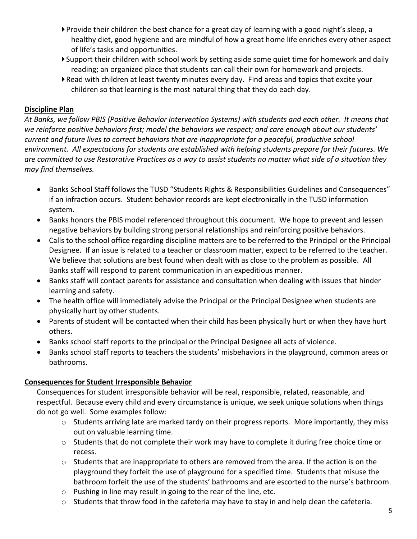- Provide their children the best chance for a great day of learning with a good night's sleep, a healthy diet, good hygiene and are mindful of how a great home life enriches every other aspect of life's tasks and opportunities.
- Support their children with school work by setting aside some quiet time for homework and daily reading; an organized place that students can call their own for homework and projects.
- Read with children at least twenty minutes every day. Find areas and topics that excite your children so that learning is the most natural thing that they do each day.

#### **Discipline Plan**

*At Banks, we follow PBIS (Positive Behavior Intervention Systems) with students and each other. It means that we reinforce positive behaviors first; model the behaviors we respect; and care enough about our students' current and future lives to correct behaviors that are inappropriate for a peaceful, productive school environment. All expectations for students are established with helping students prepare for their futures. We are committed to use Restorative Practices as a way to assist students no matter what side of a situation they may find themselves.*

- Banks School Staff follows the TUSD "Students Rights & Responsibilities Guidelines and Consequences" if an infraction occurs. Student behavior records are kept electronically in the TUSD information system.
- Banks honors the PBIS model referenced throughout this document. We hope to prevent and lessen negative behaviors by building strong personal relationships and reinforcing positive behaviors.
- Calls to the school office regarding discipline matters are to be referred to the Principal or the Principal Designee. If an issue is related to a teacher or classroom matter, expect to be referred to the teacher. We believe that solutions are best found when dealt with as close to the problem as possible. All Banks staff will respond to parent communication in an expeditious manner.
- Banks staff will contact parents for assistance and consultation when dealing with issues that hinder learning and safety.
- The health office will immediately advise the Principal or the Principal Designee when students are physically hurt by other students.
- Parents of student will be contacted when their child has been physically hurt or when they have hurt others.
- Banks school staff reports to the principal or the Principal Designee all acts of violence.
- Banks school staff reports to teachers the students' misbehaviors in the playground, common areas or bathrooms.

### **Consequences for Student Irresponsible Behavior**

Consequences for student irresponsible behavior will be real, responsible, related, reasonable, and respectful. Because every child and every circumstance is unique, we seek unique solutions when things do not go well. Some examples follow:

- $\circ$  Students arriving late are marked tardy on their progress reports. More importantly, they miss out on valuable learning time.
- $\circ$  Students that do not complete their work may have to complete it during free choice time or recess.
- $\circ$  Students that are inappropriate to others are removed from the area. If the action is on the playground they forfeit the use of playground for a specified time. Students that misuse the bathroom forfeit the use of the students' bathrooms and are escorted to the nurse's bathroom.
- o Pushing in line may result in going to the rear of the line, etc.
- o Students that throw food in the cafeteria may have to stay in and help clean the cafeteria.